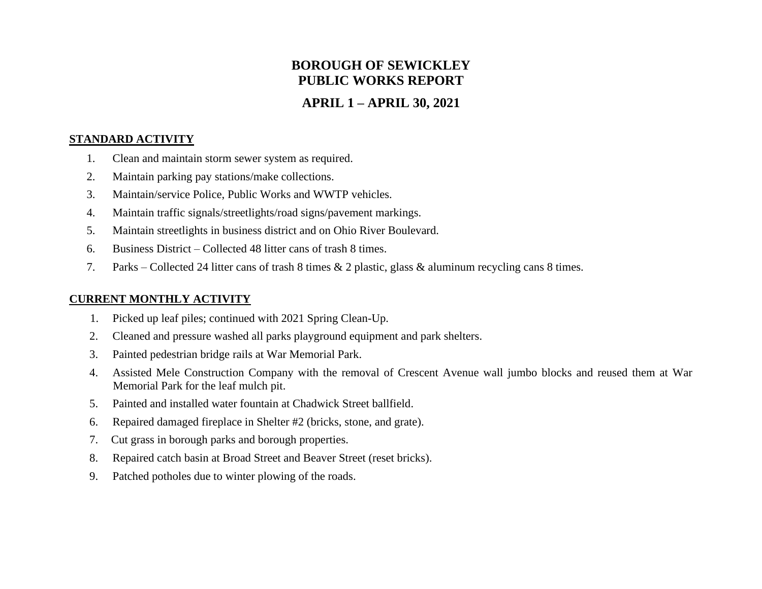# **BOROUGH OF SEWICKLEY PUBLIC WORKS REPORT**

## **APRIL 1 – APRIL 30, 2021**

#### **STANDARD ACTIVITY**

- 1. Clean and maintain storm sewer system as required.
- 2. Maintain parking pay stations/make collections.
- 3. Maintain/service Police, Public Works and WWTP vehicles.
- 4. Maintain traffic signals/streetlights/road signs/pavement markings.
- 5. Maintain streetlights in business district and on Ohio River Boulevard.
- 6. Business District Collected 48 litter cans of trash 8 times.
- 7. Parks Collected 24 litter cans of trash 8 times & 2 plastic, glass & aluminum recycling cans 8 times.

#### **CURRENT MONTHLY ACTIVITY**

- 1. Picked up leaf piles; continued with 2021 Spring Clean-Up.
- 2. Cleaned and pressure washed all parks playground equipment and park shelters.
- 3. Painted pedestrian bridge rails at War Memorial Park.
- 4. Assisted Mele Construction Company with the removal of Crescent Avenue wall jumbo blocks and reused them at War Memorial Park for the leaf mulch pit.
- 5. Painted and installed water fountain at Chadwick Street ballfield.
- 6. Repaired damaged fireplace in Shelter #2 (bricks, stone, and grate).
- 7. Cut grass in borough parks and borough properties.
- 8. Repaired catch basin at Broad Street and Beaver Street (reset bricks).
- 9. Patched potholes due to winter plowing of the roads.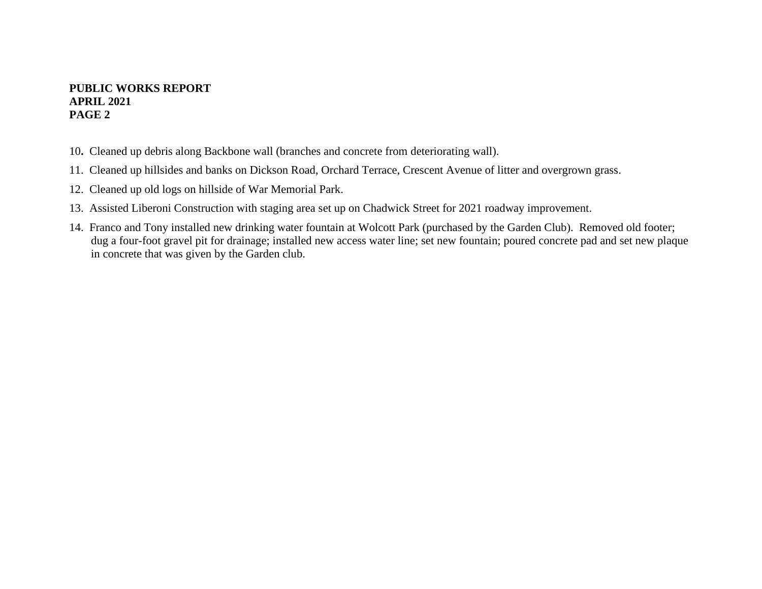#### **PUBLIC WORKS REPORT APRIL 2021 PAGE 2**

- 10**.** Cleaned up debris along Backbone wall (branches and concrete from deteriorating wall).
- 11. Cleaned up hillsides and banks on Dickson Road, Orchard Terrace, Crescent Avenue of litter and overgrown grass.
- 12. Cleaned up old logs on hillside of War Memorial Park.
- 13. Assisted Liberoni Construction with staging area set up on Chadwick Street for 2021 roadway improvement.
- 14. Franco and Tony installed new drinking water fountain at Wolcott Park (purchased by the Garden Club). Removed old footer; dug a four-foot gravel pit for drainage; installed new access water line; set new fountain; poured concrete pad and set new plaque in concrete that was given by the Garden club.